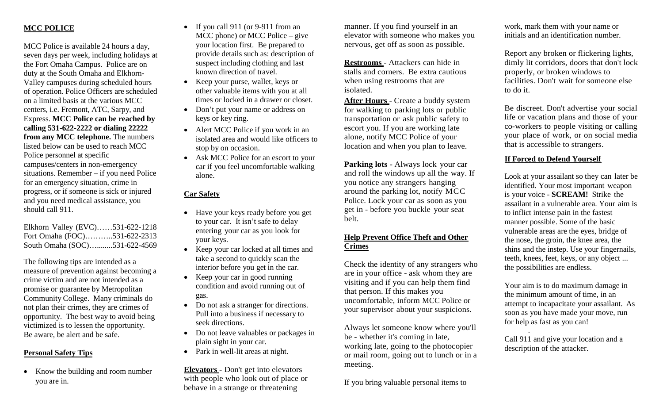## **MCC POLICE**

MCC Police is available 24 hours a day, seven days per week, including holidays at the Fort Omaha Campus. Police are on duty at the South Omaha and Elkhorn-Valley campuses during scheduled hours of operation. Police Officers are scheduled on a limited basis at the various MCC centers, i.e. Fremont, ATC, Sarpy, and Express. **MCC Police can be reached by calling 531-622-2222 or dialing 22222 from any MCC telephone.** The numbers listed below can be used to reach MCC Police personnel at specific campuses/centers in non-emergency situations. Remember – if you need Police for an emergency situation, crime in progress, or if someone is sick or injured and you need medical assistance, you should call 911.

Elkhorn Valley (EVC)……531-622-1218 Fort Omaha (FOC)………..531-622-2313 South Omaha (SOC)…........531-622-4569

The following tips are intended as a measure of prevention against becoming a crime victim and are not intended as a promise or guarantee by Metropolitan Community College. Many criminals do not plan their crimes, they are crimes of opportunity. The best way to avoid being victimized is to lessen the opportunity. Be aware, be alert and be safe.

## **Personal Safety Tips**

• Know the building and room number you are in.

- If you call 911 (or 9-911 from an MCC phone) or MCC Police – give your location first. Be prepared to provide details such as: description of suspect including clothing and last known direction of travel.
- Keep your purse, wallet, keys or other valuable items with you at all times or locked in a drawer or closet.
- Don't put your name or address on keys or key ring.
- Alert MCC Police if you work in an isolated area and would like officers to stop by on occasion.
- Ask MCC Police for an escort to your car if you feel uncomfortable walking alone.

## **Car Safety**

- Have your keys ready before you get to your car. It isn't safe to delay entering your car as you look for your keys.
- Keep your car locked at all times and take a second to quickly scan the interior before you get in the car.
- Keep your car in good running condition and avoid running out of gas.
- Do not ask a stranger for directions. Pull into a business if necessary to seek directions.
- Do not leave valuables or packages in plain sight in your car.
- Park in well-lit areas at night.

**Elevators -** Don't get into elevators with people who look out of place or behave in a strange or threatening

manner. If you find yourself in an elevator with someone who makes you nervous, get off as soon as possible.

**Restrooms** - Attackers can hide in stalls and corners. Be extra cautious when using restrooms that are isolated.

**After Hours** - Create a buddy system for walking to parking lots or public transportation or ask public safety to escort you. If you are working late alone, notify MCC Police of your location and when you plan to leave.

**Parking lots** - Always lock your car and roll the windows up all the way. If you notice any strangers hanging around the parking lot, notify MCC Police. Lock your car as soon as you get in - before you buckle your seat belt.

#### **Help Prevent Office Theft and Other Crimes**

Check the identity of any strangers who are in your office - ask whom they are visiting and if you can help them find that person. If this makes you uncomfortable, inform MCC Police or your supervisor about your suspicions.

Always let someone know where you'll be - whether it's coming in late, working late, going to the photocopier or mail room, going out to lunch or in a meeting.

If you bring valuable personal items to

work, mark them with your name or initials and an identification number.

Report any broken or flickering lights, dimly lit corridors, doors that don't lock properly, or broken windows to facilities. Don't wait for someone else to do it.

Be discreet. Don't advertise your social life or vacation plans and those of your co-workers to people visiting or calling your place of work, or on social media that is accessible to strangers.

#### **If Forced to Defend Yourself**

Look at your assailant so they can later be identified. Your most important weapon is your voice - **SCREAM!** Strike the assailant in a vulnerable area. Your aim is to inflict intense pain in the fastest manner possible. Some of the basic vulnerable areas are the eyes, bridge of the nose, the groin, the knee area, the shins and the instep. Use your fingernails, teeth, knees, feet, keys, or any object ... the possibilities are endless.

Your aim is to do maximum damage in the minimum amount of time, in an attempt to incapacitate your assailant. As soon as you have made your move, run for help as fast as you can!

. Call 911 and give your location and a description of the attacker.